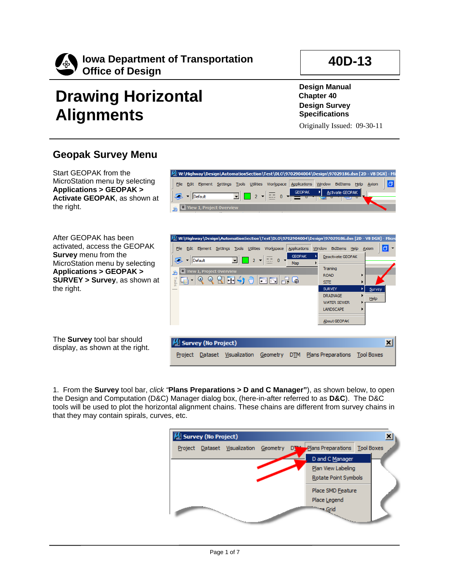

## **Drawing Horizontal Alignments**

**Design Manual Chapter 40 Design Survey Specifications**

Originally Issued: 09-30-11

**40D-13**

## **Geopak Survey Menu**

Start GEOPAK from the MicroStation menu by selecting **Applications > GEOPAK > Activate GEOPAK**, as shown at the right.

After GEOPAK has been activated, access the GEOPAK **Survey** menu from the MicroStation menu by selecting **Applications > GEOPAK > SURVEY > Survey**, as shown at the right.

The **Survey** tool bar should display, as shown at the right.





1. From the **Survey** tool bar, *click "***Plans Preparations > D and C Manager"**), as shown below, to open the Design and Computation (D&C) Manager dialog box, (here-in-after referred to as **D&C**). The D&C tools will be used to plot the horizontal alignment chains. These chains are different from survey chains in that they may contain spirals, curves, etc.

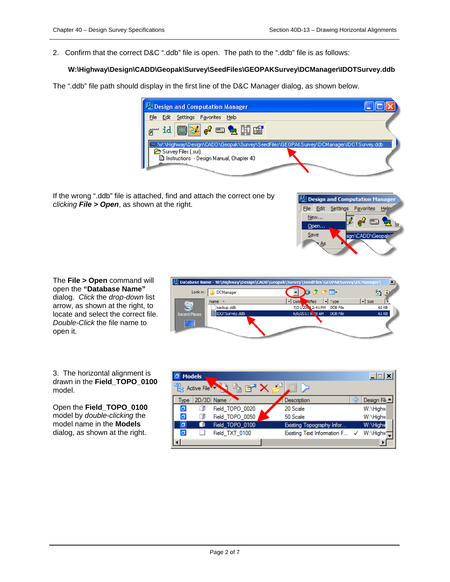2. Confirm that the correct D&C ".ddb" file is open. The path to the ".ddb" file is as follows:

## **W:\Highway\Design\CADD\Geopak\Survey\SeedFiles\GEOPAKSurvey\DCManager\IDOTSurvey.ddb**

The ".ddb" file path should display in the first line of the D&C Manager dialog, as shown below.

| Design and Computation Manager                                                       |  |
|--------------------------------------------------------------------------------------|--|
| Settings Favorites Help                                                              |  |
| ,id <mark>国2009日 出</mark>                                                            |  |
| W:\Highway\Design\CADD\Geopak\Survey\SeedFiles\GEOPAKSurvey\DCManager\IDOTSurvey.ddb |  |
| Survey Files (.sur)                                                                  |  |
| Instructions - Design Manual, Chapter 40                                             |  |
|                                                                                      |  |

If the wrong ".ddb" file is attached, find and attach the correct one by *clicking File > Open*, as shown at the right.



The **File > Open** command will open the **"Database Name"**  dialog. *Click* the *drop-down* list arrow, as shown at the right, to locate and select the correct file. *Double-Click* the file name to open it.



3. The horizontal alignment is drawn in the **Field\_TOPO\_0100**  model.

Open the **Field\_TOPO\_0100**  model by *double-clicking* the model name in the **Models**  dialog, as shown at the right.

| <b>Models</b>  |             |                 |  |                               |  |             |  |
|----------------|-------------|-----------------|--|-------------------------------|--|-------------|--|
| 电              | Active File |                 |  |                               |  |             |  |
| Type           | 2D/3D       | Name            |  | Description                   |  | Design File |  |
| σ              |             | Field_TOPO_0020 |  | 20 Scale                      |  | W:\Highw    |  |
| $\overline{a}$ |             | Field_TOPO_0050 |  | 50 Scale                      |  | W:\Highw    |  |
| б              |             | Field TOPO 0100 |  | Existing Topography Infor     |  | W:\Highv    |  |
| о              |             | Field TXT 0100  |  | Existing Text Information F √ |  | W:\Highw    |  |
|                |             |                 |  |                               |  |             |  |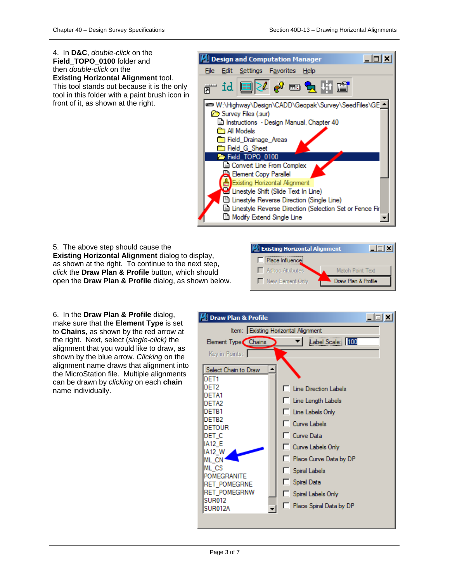4. In **D&C**, *double-click* on the **M** Design and Computation Manager  $\Box$   $\times$ **Field\_TOPO\_0100** folder and then *double-click* on the File Edit **Settings** Favorites Help **Existing Horizontal Alignment** tool. This tool stands out because it is the only id tool in this folder with a paint brush icon in front of it, as shown at the right. W:\Highway\Design\CADD\Geopak\Survey\SeedFiles\GE \_ Survey Files (.sur) Instructions - Design Manual, Chapter 40 **form** All Models **Solicit Chainage Areas Example 1** Field G. Sheet Field TOPO 0100 Convert Line From Complex Element Copy Parallel Element Copy Parallel<br>Existing Horizontal Alignment<br>Exil Lineshde Shift (Slide Text In L Linestyle Shift (Slide Text In Line) El Linestyle Reverse Direction (Single Line) Dinestyle Reverse Direction (Selection Set or Fence Fir **B** Modify Extend Single Line

5. The above step should cause the **Existing Horizontal Alignment** dialog to display, as shown at the right. To continue to the next step, *click* the **Draw Plan & Profile** button, which should open the **Draw Plan & Profile** dialog, as shown below.



6. In the **Draw Plan & Profile** dialog, make sure that the **Element Type** is set to **Chains,** as shown by the red arrow at the right. Next, select (*single-click)* the alignment that you would like to draw, as shown by the blue arrow. *Clicking* on the alignment name draws that alignment into the MicroStation file. Multiple alignments can be drawn by *clicking* on each **chain** name individually.

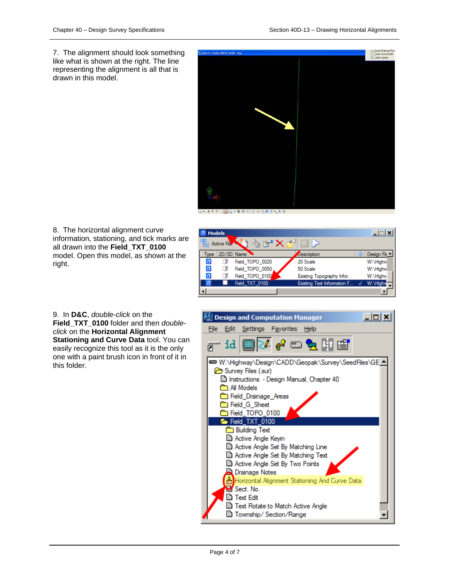7. The alignment should look something like what is shown at the right. The line representing the alignment is all that is drawn in this model.



8. The horizontal alignment curve information, stationing, and tick marks are all drawn into the **Field\_TXT\_0100** model. Open this model, as shown at the right.



9. In **D&C**, *double-click* on the **Field\_TXT\_0100** folder and then *doubleclick* on the **Horizontal Alignment Stationing and Curve Data** tool. You can easily recognize this tool as it is the only one with a paint brush icon in front of it in this folder.

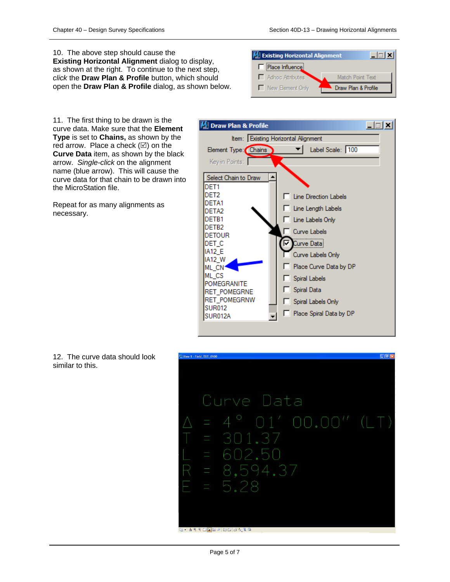10. The above step should cause the **Existing Horizontal Alignment** dialog to display, as shown at the right. To continue to the next step, *click* the **Draw Plan & Profile** button, which should open the **Draw Plan & Profile** dialog, as shown below.



11. The first thing to be drawn is the curve data. Make sure that the **Element Type** is set to **Chains,** as shown by the red arrow. Place a check  $(\boxtimes)$  on the **Curve Data** item, as shown by the black arrow. *Single-click* on the alignment name (blue arrow). This will cause the curve data for that chain to be drawn into the MicroStation file.

Repeat for as many alignments as necessary.





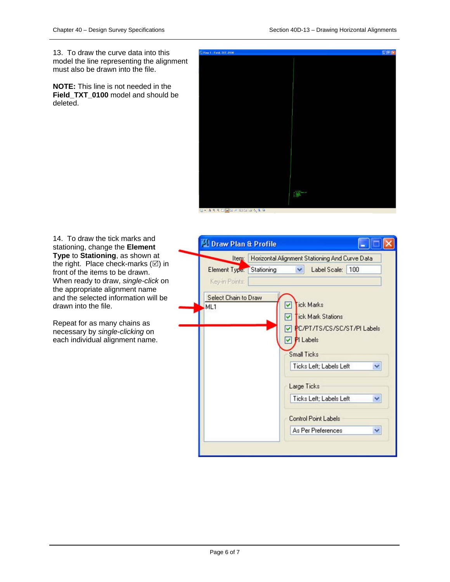13. To draw the curve data into this model the line representing the alignment must also be drawn into the file.

**NOTE:** This line is not needed in the Field TXT 0100 model and should be deleted.



G- 14400020008446

14. To draw the tick marks and stationing, change the **Element Type** to **Stationing**, as shown at the right. Place check-marks  $(\boxtimes)$  in front of the items to be drawn. When ready to draw, *single-click* on the appropriate alignment name and the selected information will be drawn into the file.

Repeat for as many chains as necessary by *single-clicking* on each individual alignment name.

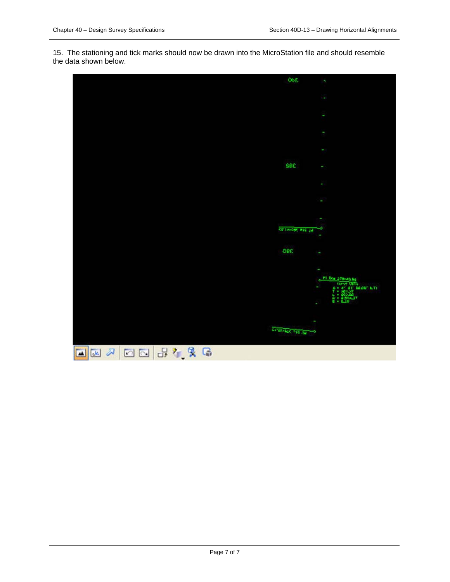15. The stationing and tick marks should now be drawn into the MicroStation file and should resemble the data shown below.